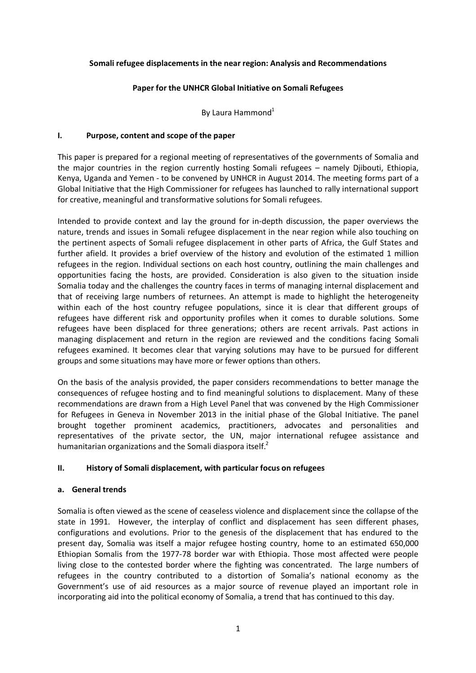### **Somali refugee displacements in the near region: Analysis and Recommendations**

### **Paper for the UNHCR Global Initiative on Somali Refugees**

By Laura Hammond $<sup>1</sup>$ </sup>

### **I. Purpose, content and scope of the paper**

This paper is prepared for a regional meeting of representatives of the governments of Somalia and the major countries in the region currently hosting Somali refugees – namely Djibouti, Ethiopia, Kenya, Uganda and Yemen - to be convened by UNHCR in August 2014. The meeting forms part of a Global Initiative that the High Commissioner for refugees has launched to rally international support for creative, meaningful and transformative solutions for Somali refugees.

Intended to provide context and lay the ground for in-depth discussion, the paper overviews the nature, trends and issues in Somali refugee displacement in the near region while also touching on the pertinent aspects of Somali refugee displacement in other parts of Africa, the Gulf States and further afield. It provides a brief overview of the history and evolution of the estimated 1 million refugees in the region. Individual sections on each host country, outlining the main challenges and opportunities facing the hosts, are provided. Consideration is also given to the situation inside Somalia today and the challenges the country faces in terms of managing internal displacement and that of receiving large numbers of returnees. An attempt is made to highlight the heterogeneity within each of the host country refugee populations, since it is clear that different groups of refugees have different risk and opportunity profiles when it comes to durable solutions. Some refugees have been displaced for three generations; others are recent arrivals. Past actions in managing displacement and return in the region are reviewed and the conditions facing Somali refugees examined. It becomes clear that varying solutions may have to be pursued for different groups and some situations may have more or fewer options than others.

On the basis of the analysis provided, the paper considers recommendations to better manage the consequences of refugee hosting and to find meaningful solutions to displacement. Many of these recommendations are drawn from a High Level Panel that was convened by the High Commissioner for Refugees in Geneva in November 2013 in the initial phase of the Global Initiative. The panel brought together prominent academics, practitioners, advocates and personalities and representatives of the private sector, the UN, major international refugee assistance and humanitarian organizations and the Somali diaspora itself.<sup>2</sup>

#### **II. History of Somali displacement, with particular focus on refugees**

#### **a. General trends**

Somalia is often viewed as the scene of ceaseless violence and displacement since the collapse of the state in 1991. However, the interplay of conflict and displacement has seen different phases, configurations and evolutions. Prior to the genesis of the displacement that has endured to the present day, Somalia was itself a major refugee hosting country, home to an estimated 650,000 Ethiopian Somalis from the 1977-78 border war with Ethiopia. Those most affected were people living close to the contested border where the fighting was concentrated. The large numbers of refugees in the country contributed to a distortion of Somalia's national economy as the Government's use of aid resources as a major source of revenue played an important role in incorporating aid into the political economy of Somalia, a trend that has continued to this day.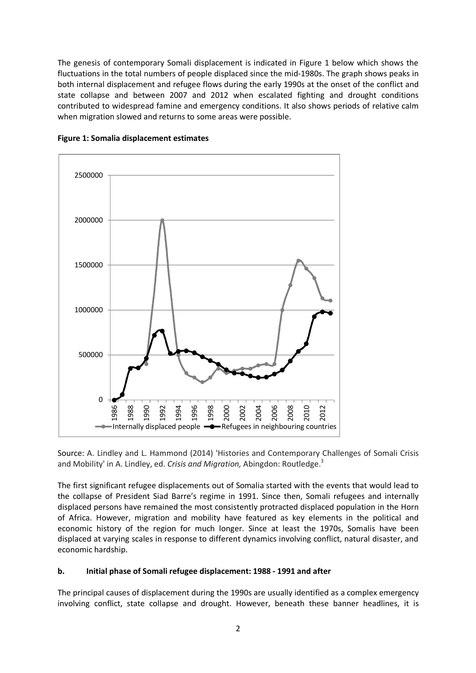The genesis of contemporary Somali displacement is indicated in Figure 1 below which shows the fluctuations in the total numbers of people displaced since the mid-1980s. The graph shows peaks in both internal displacement and refugee flows during the early 1990s at the onset of the conflict and state collapse and between 2007 and 2012 when escalated fighting and drought conditions contributed to widespread famine and emergency conditions. It also shows periods of relative calm when migration slowed and returns to some areas were possible.





Source: A. Lindley and L. Hammond (2014) 'Histories and Contemporary Challenges of Somali Crisis and Mobility' in A. Lindley, ed. *Crisis and Migration*, Abingdon: Routledge.<sup>3</sup>

The first significant refugee displacements out of Somalia started with the events that would lead to the collapse of President Siad Barre's regime in 1991. Since then, Somali refugees and internally displaced persons have remained the most consistently protracted displaced population in the Horn of Africa. However, migration and mobility have featured as key elements in the political and economic history of the region for much longer. Since at least the 1970s, Somalis have been displaced at varying scales in response to different dynamics involving conflict, natural disaster, and economic hardship.

# **b. Initial phase of Somali refugee displacement: 1988 - 1991 and after**

The principal causes of displacement during the 1990s are usually identified as a complex emergency involving conflict, state collapse and drought. However, beneath these banner headlines, it is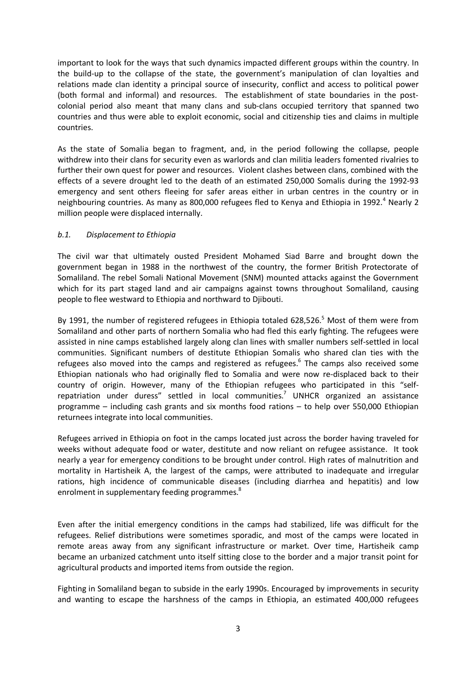important to look for the ways that such dynamics impacted different groups within the country. In the build-up to the collapse of the state, the government's manipulation of clan loyalties and relations made clan identity a principal source of insecurity, conflict and access to political power (both formal and informal) and resources. The establishment of state boundaries in the postcolonial period also meant that many clans and sub-clans occupied territory that spanned two countries and thus were able to exploit economic, social and citizenship ties and claims in multiple countries.

As the state of Somalia began to fragment, and, in the period following the collapse, people withdrew into their clans for security even as warlords and clan militia leaders fomented rivalries to further their own quest for power and resources. Violent clashes between clans, combined with the effects of a severe drought led to the death of an estimated 250,000 Somalis during the 1992-93 emergency and sent others fleeing for safer areas either in urban centres in the country or in neighbouring countries. As many as 800,000 refugees fled to Kenya and Ethiopia in 1992.<sup>4</sup> Nearly 2 million people were displaced internally.

### *b.1. Displacement to Ethiopia*

The civil war that ultimately ousted President Mohamed Siad Barre and brought down the government began in 1988 in the northwest of the country, the former British Protectorate of Somaliland. The rebel Somali National Movement (SNM) mounted attacks against the Government which for its part staged land and air campaigns against towns throughout Somaliland, causing people to flee westward to Ethiopia and northward to Djibouti.

By 1991, the number of registered refugees in Ethiopia totaled 628,526.<sup>5</sup> Most of them were from Somaliland and other parts of northern Somalia who had fled this early fighting. The refugees were assisted in nine camps established largely along clan lines with smaller numbers self-settled in local communities. Significant numbers of destitute Ethiopian Somalis who shared clan ties with the refugees also moved into the camps and registered as refugees.<sup>6</sup> The camps also received some Ethiopian nationals who had originally fled to Somalia and were now re-displaced back to their country of origin. However, many of the Ethiopian refugees who participated in this "selfrepatriation under duress" settled in local communities.<sup>7</sup> UNHCR organized an assistance programme – including cash grants and six months food rations – to help over 550,000 Ethiopian returnees integrate into local communities.

Refugees arrived in Ethiopia on foot in the camps located just across the border having traveled for weeks without adequate food or water, destitute and now reliant on refugee assistance. It took nearly a year for emergency conditions to be brought under control. High rates of malnutrition and mortality in Hartisheik A, the largest of the camps, were attributed to inadequate and irregular rations, high incidence of communicable diseases (including diarrhea and hepatitis) and low enrolment in supplementary feeding programmes.<sup>8</sup>

Even after the initial emergency conditions in the camps had stabilized, life was difficult for the refugees. Relief distributions were sometimes sporadic, and most of the camps were located in remote areas away from any significant infrastructure or market. Over time, Hartisheik camp became an urbanized catchment unto itself sitting close to the border and a major transit point for agricultural products and imported items from outside the region.

Fighting in Somaliland began to subside in the early 1990s. Encouraged by improvements in security and wanting to escape the harshness of the camps in Ethiopia, an estimated 400,000 refugees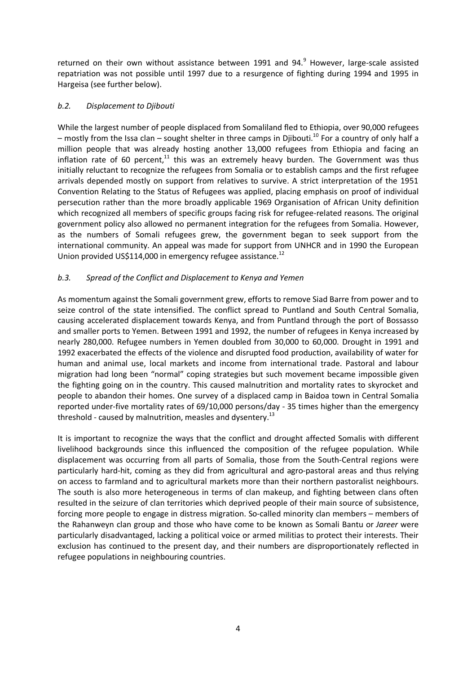returned on their own without assistance between 1991 and 94. $9$  However, large-scale assisted repatriation was not possible until 1997 due to a resurgence of fighting during 1994 and 1995 in Hargeisa (see further below).

# *b.2. Displacement to Djibouti*

While the largest number of people displaced from Somaliland fled to Ethiopia, over 90,000 refugees – mostly from the Issa clan – sought shelter in three camps in Diibouti.<sup>10</sup> For a country of only half a million people that was already hosting another 13,000 refugees from Ethiopia and facing an inflation rate of 60 percent, $11$  this was an extremely heavy burden. The Government was thus initially reluctant to recognize the refugees from Somalia or to establish camps and the first refugee arrivals depended mostly on support from relatives to survive. A strict interpretation of the 1951 Convention Relating to the Status of Refugees was applied, placing emphasis on proof of individual persecution rather than the more broadly applicable 1969 Organisation of African Unity definition which recognized all members of specific groups facing risk for refugee-related reasons. The original government policy also allowed no permanent integration for the refugees from Somalia. However, as the numbers of Somali refugees grew, the government began to seek support from the international community. An appeal was made for support from UNHCR and in 1990 the European Union provided US\$114,000 in emergency refugee assistance.<sup>12</sup>

# *b.3. Spread of the Conflict and Displacement to Kenya and Yemen*

As momentum against the Somali government grew, efforts to remove Siad Barre from power and to seize control of the state intensified. The conflict spread to Puntland and South Central Somalia, causing accelerated displacement towards Kenya, and from Puntland through the port of Bossasso and smaller ports to Yemen. Between 1991 and 1992, the number of refugees in Kenya increased by nearly 280,000. Refugee numbers in Yemen doubled from 30,000 to 60,000. Drought in 1991 and 1992 exacerbated the effects of the violence and disrupted food production, availability of water for human and animal use, local markets and income from international trade. Pastoral and labour migration had long been "normal" coping strategies but such movement became impossible given the fighting going on in the country. This caused malnutrition and mortality rates to skyrocket and people to abandon their homes. One survey of a displaced camp in Baidoa town in Central Somalia reported under-five mortality rates of 69/10,000 persons/day - 35 times higher than the emergency threshold - caused by malnutrition, measles and dysentery.<sup>13</sup>

It is important to recognize the ways that the conflict and drought affected Somalis with different livelihood backgrounds since this influenced the composition of the refugee population. While displacement was occurring from all parts of Somalia, those from the South-Central regions were particularly hard-hit, coming as they did from agricultural and agro-pastoral areas and thus relying on access to farmland and to agricultural markets more than their northern pastoralist neighbours. The south is also more heterogeneous in terms of clan makeup, and fighting between clans often resulted in the seizure of clan territories which deprived people of their main source of subsistence, forcing more people to engage in distress migration. So-called minority clan members – members of the Rahanweyn clan group and those who have come to be known as Somali Bantu or *Jareer* were particularly disadvantaged, lacking a political voice or armed militias to protect their interests. Their exclusion has continued to the present day, and their numbers are disproportionately reflected in refugee populations in neighbouring countries.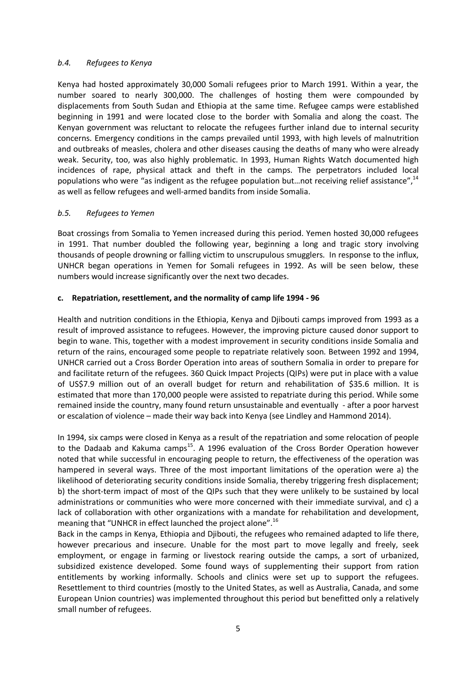### *b.4. Refugees to Kenya*

Kenya had hosted approximately 30,000 Somali refugees prior to March 1991. Within a year, the number soared to nearly 300,000. The challenges of hosting them were compounded by displacements from South Sudan and Ethiopia at the same time. Refugee camps were established beginning in 1991 and were located close to the border with Somalia and along the coast. The Kenyan government was reluctant to relocate the refugees further inland due to internal security concerns. Emergency conditions in the camps prevailed until 1993, with high levels of malnutrition and outbreaks of measles, cholera and other diseases causing the deaths of many who were already weak. Security, too, was also highly problematic. In 1993, Human Rights Watch documented high incidences of rape, physical attack and theft in the camps. The perpetrators included local populations who were "as indigent as the refugee population but...not receiving relief assistance", 14 as well as fellow refugees and well-armed bandits from inside Somalia.

# *b.5. Refugees to Yemen*

Boat crossings from Somalia to Yemen increased during this period. Yemen hosted 30,000 refugees in 1991. That number doubled the following year, beginning a long and tragic story involving thousands of people drowning or falling victim to unscrupulous smugglers. In response to the influx, UNHCR began operations in Yemen for Somali refugees in 1992. As will be seen below, these numbers would increase significantly over the next two decades.

### **c. Repatriation, resettlement, and the normality of camp life 1994 - 96**

Health and nutrition conditions in the Ethiopia, Kenya and Djibouti camps improved from 1993 as a result of improved assistance to refugees. However, the improving picture caused donor support to begin to wane. This, together with a modest improvement in security conditions inside Somalia and return of the rains, encouraged some people to repatriate relatively soon. Between 1992 and 1994, UNHCR carried out a Cross Border Operation into areas of southern Somalia in order to prepare for and facilitate return of the refugees. 360 Quick Impact Projects (QIPs) were put in place with a value of US\$7.9 million out of an overall budget for return and rehabilitation of \$35.6 million. It is estimated that more than 170,000 people were assisted to repatriate during this period. While some remained inside the country, many found return unsustainable and eventually - after a poor harvest or escalation of violence – made their way back into Kenya (see Lindley and Hammond 2014).

In 1994, six camps were closed in Kenya as a result of the repatriation and some relocation of people to the Dadaab and Kakuma camps<sup>15</sup>. A 1996 evaluation of the Cross Border Operation however noted that while successful in encouraging people to return, the effectiveness of the operation was hampered in several ways. Three of the most important limitations of the operation were a) the likelihood of deteriorating security conditions inside Somalia, thereby triggering fresh displacement; b) the short-term impact of most of the QIPs such that they were unlikely to be sustained by local administrations or communities who were more concerned with their immediate survival, and c) a lack of collaboration with other organizations with a mandate for rehabilitation and development, meaning that "UNHCR in effect launched the project alone".<sup>16</sup>

Back in the camps in Kenya, Ethiopia and Djibouti, the refugees who remained adapted to life there, however precarious and insecure. Unable for the most part to move legally and freely, seek employment, or engage in farming or livestock rearing outside the camps, a sort of urbanized, subsidized existence developed. Some found ways of supplementing their support from ration entitlements by working informally. Schools and clinics were set up to support the refugees. Resettlement to third countries (mostly to the United States, as well as Australia, Canada, and some European Union countries) was implemented throughout this period but benefitted only a relatively small number of refugees.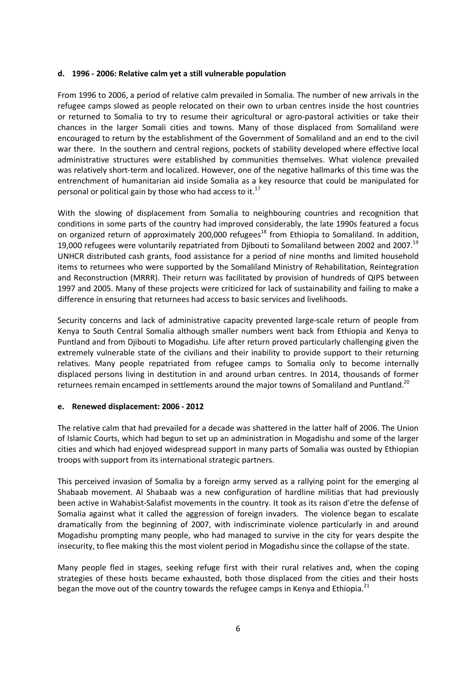#### **d. 1996 - 2006: Relative calm yet a still vulnerable population**

From 1996 to 2006, a period of relative calm prevailed in Somalia. The number of new arrivals in the refugee camps slowed as people relocated on their own to urban centres inside the host countries or returned to Somalia to try to resume their agricultural or agro-pastoral activities or take their chances in the larger Somali cities and towns. Many of those displaced from Somaliland were encouraged to return by the establishment of the Government of Somaliland and an end to the civil war there. In the southern and central regions, pockets of stability developed where effective local administrative structures were established by communities themselves. What violence prevailed was relatively short-term and localized. However, one of the negative hallmarks of this time was the entrenchment of humanitarian aid inside Somalia as a key resource that could be manipulated for personal or political gain by those who had access to it. $^{17}$ 

With the slowing of displacement from Somalia to neighbouring countries and recognition that conditions in some parts of the country had improved considerably, the late 1990s featured a focus on organized return of approximately 200,000 refugees<sup>18</sup> from Ethiopia to Somaliland. In addition, 19,000 refugees were voluntarily repatriated from Djibouti to Somaliland between 2002 and 2007.<sup>19</sup> UNHCR distributed cash grants, food assistance for a period of nine months and limited household items to returnees who were supported by the Somaliland Ministry of Rehabilitation, Reintegration and Reconstruction (MRRR). Their return was facilitated by provision of hundreds of QIPS between 1997 and 2005. Many of these projects were criticized for lack of sustainability and failing to make a difference in ensuring that returnees had access to basic services and livelihoods.

Security concerns and lack of administrative capacity prevented large-scale return of people from Kenya to South Central Somalia although smaller numbers went back from Ethiopia and Kenya to Puntland and from Djibouti to Mogadishu. Life after return proved particularly challenging given the extremely vulnerable state of the civilians and their inability to provide support to their returning relatives. Many people repatriated from refugee camps to Somalia only to become internally displaced persons living in destitution in and around urban centres. In 2014, thousands of former returnees remain encamped in settlements around the major towns of Somaliland and Puntland.<sup>20</sup>

#### **e. Renewed displacement: 2006 - 2012**

The relative calm that had prevailed for a decade was shattered in the latter half of 2006. The Union of Islamic Courts, which had begun to set up an administration in Mogadishu and some of the larger cities and which had enjoyed widespread support in many parts of Somalia was ousted by Ethiopian troops with support from its international strategic partners.

This perceived invasion of Somalia by a foreign army served as a rallying point for the emerging al Shabaab movement. Al Shabaab was a new configuration of hardline militias that had previously been active in Wahabist-Salafist movements in the country. It took as its raison d'etre the defense of Somalia against what it called the aggression of foreign invaders. The violence began to escalate dramatically from the beginning of 2007, with indiscriminate violence particularly in and around Mogadishu prompting many people, who had managed to survive in the city for years despite the insecurity, to flee making this the most violent period in Mogadishu since the collapse of the state.

Many people fled in stages, seeking refuge first with their rural relatives and, when the coping strategies of these hosts became exhausted, both those displaced from the cities and their hosts began the move out of the country towards the refugee camps in Kenya and Ethiopia.<sup>21</sup>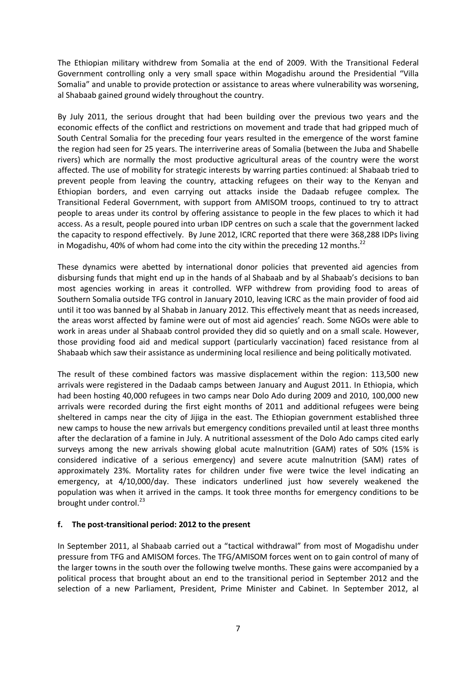The Ethiopian military withdrew from Somalia at the end of 2009. With the Transitional Federal Government controlling only a very small space within Mogadishu around the Presidential "Villa Somalia" and unable to provide protection or assistance to areas where vulnerability was worsening, al Shabaab gained ground widely throughout the country.

By July 2011, the serious drought that had been building over the previous two years and the economic effects of the conflict and restrictions on movement and trade that had gripped much of South Central Somalia for the preceding four years resulted in the emergence of the worst famine the region had seen for 25 years. The interriverine areas of Somalia (between the Juba and Shabelle rivers) which are normally the most productive agricultural areas of the country were the worst affected. The use of mobility for strategic interests by warring parties continued: al Shabaab tried to prevent people from leaving the country, attacking refugees on their way to the Kenyan and Ethiopian borders, and even carrying out attacks inside the Dadaab refugee complex. The Transitional Federal Government, with support from AMISOM troops, continued to try to attract people to areas under its control by offering assistance to people in the few places to which it had access. As a result, people poured into urban IDP centres on such a scale that the government lacked the capacity to respond effectively. By June 2012, ICRC reported that there were 368,288 IDPs living in Mogadishu, 40% of whom had come into the city within the preceding 12 months.<sup>22</sup>

These dynamics were abetted by international donor policies that prevented aid agencies from disbursing funds that might end up in the hands of al Shabaab and by al Shabaab's decisions to ban most agencies working in areas it controlled. WFP withdrew from providing food to areas of Southern Somalia outside TFG control in January 2010, leaving ICRC as the main provider of food aid until it too was banned by al Shabab in January 2012. This effectively meant that as needs increased, the areas worst affected by famine were out of most aid agencies' reach. Some NGOs were able to work in areas under al Shabaab control provided they did so quietly and on a small scale. However, those providing food aid and medical support (particularly vaccination) faced resistance from al Shabaab which saw their assistance as undermining local resilience and being politically motivated.

The result of these combined factors was massive displacement within the region: 113,500 new arrivals were registered in the Dadaab camps between January and August 2011. In Ethiopia, which had been hosting 40,000 refugees in two camps near Dolo Ado during 2009 and 2010, 100,000 new arrivals were recorded during the first eight months of 2011 and additional refugees were being sheltered in camps near the city of Jijiga in the east. The Ethiopian government established three new camps to house the new arrivals but emergency conditions prevailed until at least three months after the declaration of a famine in July. A nutritional assessment of the Dolo Ado camps cited early surveys among the new arrivals showing global acute malnutrition (GAM) rates of 50% (15% is considered indicative of a serious emergency) and severe acute malnutrition (SAM) rates of approximately 23%. Mortality rates for children under five were twice the level indicating an emergency, at 4/10,000/day. These indicators underlined just how severely weakened the population was when it arrived in the camps. It took three months for emergency conditions to be brought under control.<sup>23</sup>

# **f. The post-transitional period: 2012 to the present**

In September 2011, al Shabaab carried out a "tactical withdrawal" from most of Mogadishu under pressure from TFG and AMISOM forces. The TFG/AMISOM forces went on to gain control of many of the larger towns in the south over the following twelve months. These gains were accompanied by a political process that brought about an end to the transitional period in September 2012 and the selection of a new Parliament, President, Prime Minister and Cabinet. In September 2012, al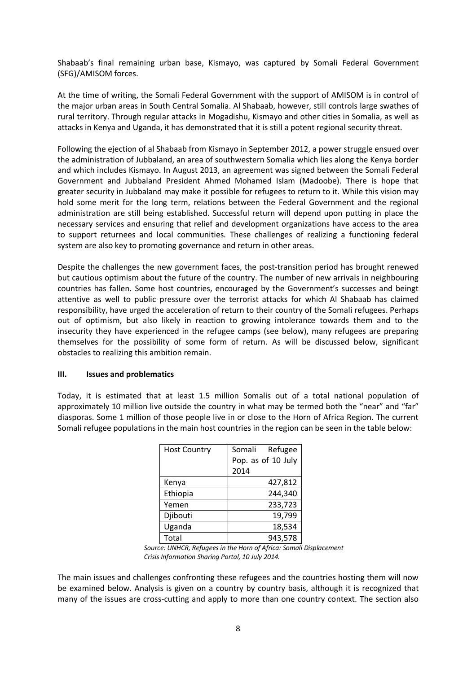Shabaab's final remaining urban base, Kismayo, was captured by Somali Federal Government (SFG)/AMISOM forces.

At the time of writing, the Somali Federal Government with the support of AMISOM is in control of the major urban areas in South Central Somalia. Al Shabaab, however, still controls large swathes of rural territory. Through regular attacks in Mogadishu, Kismayo and other cities in Somalia, as well as attacks in Kenya and Uganda, it has demonstrated that it is still a potent regional security threat.

Following the ejection of al Shabaab from Kismayo in September 2012, a power struggle ensued over the administration of Jubbaland, an area of southwestern Somalia which lies along the Kenya border and which includes Kismayo. In August 2013, an agreement was signed between the Somali Federal Government and Jubbaland President Ahmed Mohamed Islam (Madoobe). There is hope that greater security in Jubbaland may make it possible for refugees to return to it. While this vision may hold some merit for the long term, relations between the Federal Government and the regional administration are still being established. Successful return will depend upon putting in place the necessary services and ensuring that relief and development organizations have access to the area to support returnees and local communities. These challenges of realizing a functioning federal system are also key to promoting governance and return in other areas.

Despite the challenges the new government faces, the post-transition period has brought renewed but cautious optimism about the future of the country. The number of new arrivals in neighbouring countries has fallen. Some host countries, encouraged by the Government's successes and beingt attentive as well to public pressure over the terrorist attacks for which Al Shabaab has claimed responsibility, have urged the acceleration of return to their country of the Somali refugees. Perhaps out of optimism, but also likely in reaction to growing intolerance towards them and to the insecurity they have experienced in the refugee camps (see below), many refugees are preparing themselves for the possibility of some form of return. As will be discussed below, significant obstacles to realizing this ambition remain.

#### **III. Issues and problematics**

Today, it is estimated that at least 1.5 million Somalis out of a total national population of approximately 10 million live outside the country in what may be termed both the "near" and "far" diasporas. Some 1 million of those people live in or close to the Horn of Africa Region. The current Somali refugee populations in the main host countries in the region can be seen in the table below:

| <b>Host Country</b> | Refugee<br>Somali  |
|---------------------|--------------------|
|                     | Pop. as of 10 July |
|                     | 2014               |
| Kenya               | 427,812            |
| Ethiopia            | 244,340            |
| Yemen               | 233,723            |
| Djibouti            | 19,799             |
| Uganda              | 18,534             |
| Total               | 943,578            |

*Source: UNHCR, Refugees in the Horn of Africa: Somali Displacement Crisis Information Sharing Portal, 10 July 2014.*

The main issues and challenges confronting these refugees and the countries hosting them will now be examined below. Analysis is given on a country by country basis, although it is recognized that many of the issues are cross-cutting and apply to more than one country context. The section also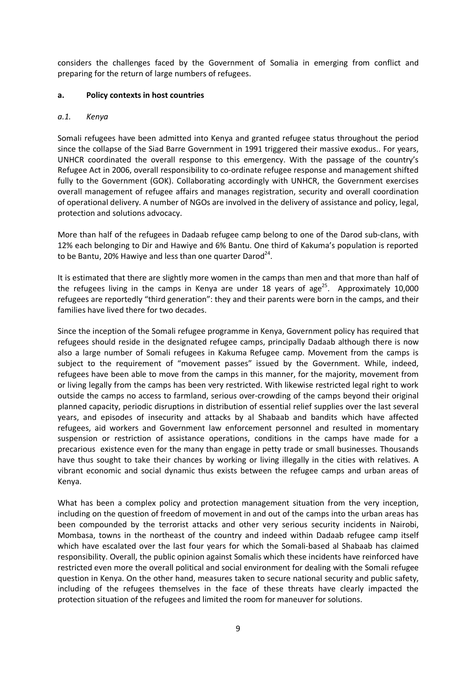considers the challenges faced by the Government of Somalia in emerging from conflict and preparing for the return of large numbers of refugees.

### **a. Policy contexts in host countries**

### *a.1. Kenya*

Somali refugees have been admitted into Kenya and granted refugee status throughout the period since the collapse of the Siad Barre Government in 1991 triggered their massive exodus.. For years, UNHCR coordinated the overall response to this emergency. With the passage of the country's Refugee Act in 2006, overall responsibility to co-ordinate refugee response and management shifted fully to the Government (GOK). Collaborating accordingly with UNHCR, the Government exercises overall management of refugee affairs and manages registration, security and overall coordination of operational delivery. A number of NGOs are involved in the delivery of assistance and policy, legal, protection and solutions advocacy.

More than half of the refugees in Dadaab refugee camp belong to one of the Darod sub-clans, with 12% each belonging to Dir and Hawiye and 6% Bantu. One third of Kakuma's population is reported to be Bantu, 20% Hawiye and less than one quarter Darod<sup>24</sup>.

It is estimated that there are slightly more women in the camps than men and that more than half of the refugees living in the camps in Kenya are under 18 years of age<sup>25</sup>. Approximately 10,000 refugees are reportedly "third generation": they and their parents were born in the camps, and their families have lived there for two decades.

Since the inception of the Somali refugee programme in Kenya, Government policy has required that refugees should reside in the designated refugee camps, principally Dadaab although there is now also a large number of Somali refugees in Kakuma Refugee camp. Movement from the camps is subject to the requirement of "movement passes" issued by the Government. While, indeed, refugees have been able to move from the camps in this manner, for the majority, movement from or living legally from the camps has been very restricted. With likewise restricted legal right to work outside the camps no access to farmland, serious over-crowding of the camps beyond their original planned capacity, periodic disruptions in distribution of essential relief supplies over the last several years, and episodes of insecurity and attacks by al Shabaab and bandits which have affected refugees, aid workers and Government law enforcement personnel and resulted in momentary suspension or restriction of assistance operations, conditions in the camps have made for a precarious existence even for the many than engage in petty trade or small businesses. Thousands have thus sought to take their chances by working or living illegally in the cities with relatives. A vibrant economic and social dynamic thus exists between the refugee camps and urban areas of Kenya.

What has been a complex policy and protection management situation from the very inception, including on the question of freedom of movement in and out of the camps into the urban areas has been compounded by the terrorist attacks and other very serious security incidents in Nairobi, Mombasa, towns in the northeast of the country and indeed within Dadaab refugee camp itself which have escalated over the last four years for which the Somali-based al Shabaab has claimed responsibility. Overall, the public opinion against Somalis which these incidents have reinforced have restricted even more the overall political and social environment for dealing with the Somali refugee question in Kenya. On the other hand, measures taken to secure national security and public safety, including of the refugees themselves in the face of these threats have clearly impacted the protection situation of the refugees and limited the room for maneuver for solutions.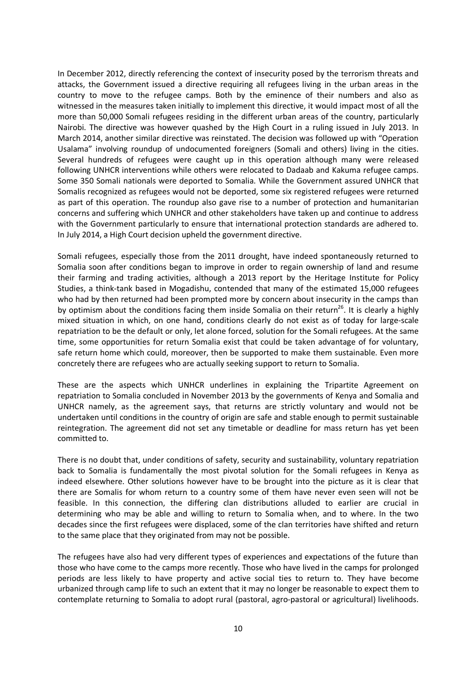In December 2012, directly referencing the context of insecurity posed by the terrorism threats and attacks, the Government issued a directive requiring all refugees living in the urban areas in the country to move to the refugee camps. Both by the eminence of their numbers and also as witnessed in the measures taken initially to implement this directive, it would impact most of all the more than 50,000 Somali refugees residing in the different urban areas of the country, particularly Nairobi. The directive was however quashed by the High Court in a ruling issued in July 2013. In March 2014, another similar directive was reinstated. The decision was followed up with "Operation Usalama" involving roundup of undocumented foreigners (Somali and others) living in the cities. Several hundreds of refugees were caught up in this operation although many were released following UNHCR interventions while others were relocated to Dadaab and Kakuma refugee camps. Some 350 Somali nationals were deported to Somalia. While the Government assured UNHCR that Somalis recognized as refugees would not be deported, some six registered refugees were returned as part of this operation. The roundup also gave rise to a number of protection and humanitarian concerns and suffering which UNHCR and other stakeholders have taken up and continue to address with the Government particularly to ensure that international protection standards are adhered to. In July 2014, a High Court decision upheld the government directive.

Somali refugees, especially those from the 2011 drought, have indeed spontaneously returned to Somalia soon after conditions began to improve in order to regain ownership of land and resume their farming and trading activities, although a 2013 report by the Heritage Institute for Policy Studies, a think-tank based in Mogadishu, contended that many of the estimated 15,000 refugees who had by then returned had been prompted more by concern about insecurity in the camps than by optimism about the conditions facing them inside Somalia on their return<sup>26</sup>. It is clearly a highly mixed situation in which, on one hand, conditions clearly do not exist as of today for large-scale repatriation to be the default or only, let alone forced, solution for the Somali refugees. At the same time, some opportunities for return Somalia exist that could be taken advantage of for voluntary, safe return home which could, moreover, then be supported to make them sustainable. Even more concretely there are refugees who are actually seeking support to return to Somalia.

These are the aspects which UNHCR underlines in explaining the Tripartite Agreement on repatriation to Somalia concluded in November 2013 by the governments of Kenya and Somalia and UNHCR namely, as the agreement says, that returns are strictly voluntary and would not be undertaken until conditions in the country of origin are safe and stable enough to permit sustainable reintegration. The agreement did not set any timetable or deadline for mass return has yet been committed to.

There is no doubt that, under conditions of safety, security and sustainability, voluntary repatriation back to Somalia is fundamentally the most pivotal solution for the Somali refugees in Kenya as indeed elsewhere. Other solutions however have to be brought into the picture as it is clear that there are Somalis for whom return to a country some of them have never even seen will not be feasible. In this connection, the differing clan distributions alluded to earlier are crucial in determining who may be able and willing to return to Somalia when, and to where. In the two decades since the first refugees were displaced, some of the clan territories have shifted and return to the same place that they originated from may not be possible.

The refugees have also had very different types of experiences and expectations of the future than those who have come to the camps more recently. Those who have lived in the camps for prolonged periods are less likely to have property and active social ties to return to. They have become urbanized through camp life to such an extent that it may no longer be reasonable to expect them to contemplate returning to Somalia to adopt rural (pastoral, agro-pastoral or agricultural) livelihoods.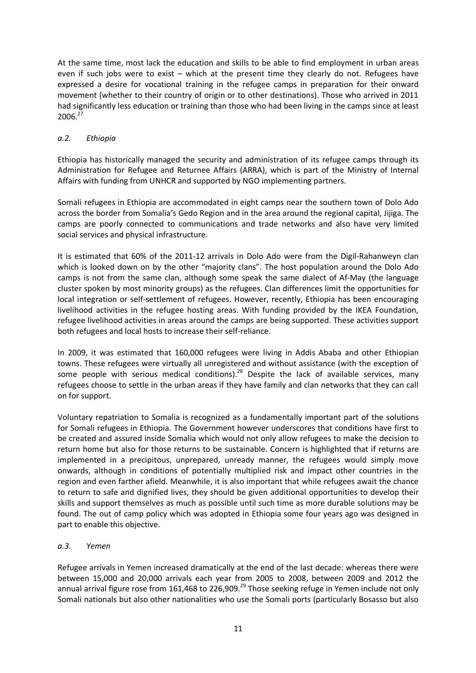At the same time, most lack the education and skills to be able to find employment in urban areas even if such jobs were to exist – which at the present time they clearly do not. Refugees have expressed a desire for vocational training in the refugee camps in preparation for their onward movement (whether to their country of origin or to other destinations). Those who arrived in 2011 had significantly less education or training than those who had been living in the camps since at least 2006.<sup>27</sup>

# *a.2. Ethiopia*

Ethiopia has historically managed the security and administration of its refugee camps through its Administration for Refugee and Returnee Affairs (ARRA), which is part of the Ministry of Internal Affairs with funding from UNHCR and supported by NGO implementing partners.

Somali refugees in Ethiopia are accommodated in eight camps near the southern town of Dolo Ado across the border from Somalia's Gedo Region and in the area around the regional capital, Jijiga. The camps are poorly connected to communications and trade networks and also have very limited social services and physical infrastructure.

It is estimated that 60% of the 2011-12 arrivals in Dolo Ado were from the Digil-Rahanweyn clan which is looked down on by the other "majority clans". The host population around the Dolo Ado camps is not from the same clan, although some speak the same dialect of Af-May (the language cluster spoken by most minority groups) as the refugees. Clan differences limit the opportunities for local integration or self-settlement of refugees. However, recently, Ethiopia has been encouraging livelihood activities in the refugee hosting areas. With funding provided by the IKEA Foundation, refugee livelihood activities in areas around the camps are being supported. These activities support both refugees and local hosts to increase their self-reliance.

In 2009, it was estimated that 160,000 refugees were living in Addis Ababa and other Ethiopian towns. These refugees were virtually all unregistered and without assistance (with the exception of some people with serious medical conditions).<sup>28</sup> Despite the lack of available services, many refugees choose to settle in the urban areas if they have family and clan networks that they can call on for support.

Voluntary repatriation to Somalia is recognized as a fundamentally important part of the solutions for Somali refugees in Ethiopia. The Government however underscores that conditions have first to be created and assured inside Somalia which would not only allow refugees to make the decision to return home but also for those returns to be sustainable. Concern is highlighted that if returns are implemented in a precipitous, unprepared, unready manner, the refugees would simply move onwards, although in conditions of potentially multiplied risk and impact other countries in the region and even farther afield. Meanwhile, it is also important that while refugees await the chance to return to safe and dignified lives, they should be given additional opportunities to develop their skills and support themselves as much as possible until such time as more durable solutions may be found. The out of camp policy which was adopted in Ethiopia some four years ago was designed in part to enable this objective.

# *a.3. Yemen*

Refugee arrivals in Yemen increased dramatically at the end of the last decade: whereas there were between 15,000 and 20,000 arrivals each year from 2005 to 2008, between 2009 and 2012 the annual arrival figure rose from 161,468 to 226,909.<sup>29</sup> Those seeking refuge in Yemen include not only Somali nationals but also other nationalities who use the Somali ports (particularly Bosasso but also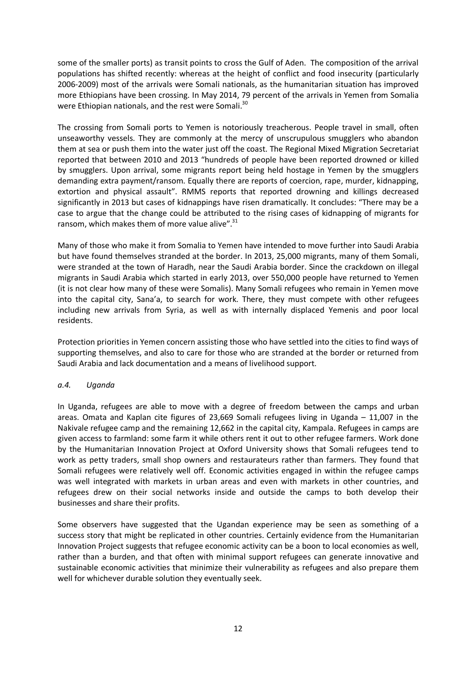some of the smaller ports) as transit points to cross the Gulf of Aden. The composition of the arrival populations has shifted recently: whereas at the height of conflict and food insecurity (particularly 2006-2009) most of the arrivals were Somali nationals, as the humanitarian situation has improved more Ethiopians have been crossing. In May 2014, 79 percent of the arrivals in Yemen from Somalia were Ethiopian nationals, and the rest were Somali.<sup>30</sup>

The crossing from Somali ports to Yemen is notoriously treacherous. People travel in small, often unseaworthy vessels. They are commonly at the mercy of unscrupulous smugglers who abandon them at sea or push them into the water just off the coast. The Regional Mixed Migration Secretariat reported that between 2010 and 2013 "hundreds of people have been reported drowned or killed by smugglers. Upon arrival, some migrants report being held hostage in Yemen by the smugglers demanding extra payment/ransom. Equally there are reports of coercion, rape, murder, kidnapping, extortion and physical assault". RMMS reports that reported drowning and killings decreased significantly in 2013 but cases of kidnappings have risen dramatically. It concludes: "There may be a case to argue that the change could be attributed to the rising cases of kidnapping of migrants for ransom, which makes them of more value alive".<sup>31</sup>

Many of those who make it from Somalia to Yemen have intended to move further into Saudi Arabia but have found themselves stranded at the border. In 2013, 25,000 migrants, many of them Somali, were stranded at the town of Haradh, near the Saudi Arabia border. Since the crackdown on illegal migrants in Saudi Arabia which started in early 2013, over 550,000 people have returned to Yemen (it is not clear how many of these were Somalis). Many Somali refugees who remain in Yemen move into the capital city, Sana'a, to search for work. There, they must compete with other refugees including new arrivals from Syria, as well as with internally displaced Yemenis and poor local residents.

Protection priorities in Yemen concern assisting those who have settled into the cities to find ways of supporting themselves, and also to care for those who are stranded at the border or returned from Saudi Arabia and lack documentation and a means of livelihood support.

# *a.4. Uganda*

In Uganda, refugees are able to move with a degree of freedom between the camps and urban areas. Omata and Kaplan cite figures of 23,669 Somali refugees living in Uganda – 11,007 in the Nakivale refugee camp and the remaining 12,662 in the capital city, Kampala. Refugees in camps are given access to farmland: some farm it while others rent it out to other refugee farmers. Work done by the Humanitarian Innovation Project at Oxford University shows that Somali refugees tend to work as petty traders, small shop owners and restaurateurs rather than farmers. They found that Somali refugees were relatively well off. Economic activities engaged in within the refugee camps was well integrated with markets in urban areas and even with markets in other countries, and refugees drew on their social networks inside and outside the camps to both develop their businesses and share their profits.

Some observers have suggested that the Ugandan experience may be seen as something of a success story that might be replicated in other countries. Certainly evidence from the Humanitarian Innovation Project suggests that refugee economic activity can be a boon to local economies as well, rather than a burden, and that often with minimal support refugees can generate innovative and sustainable economic activities that minimize their vulnerability as refugees and also prepare them well for whichever durable solution they eventually seek.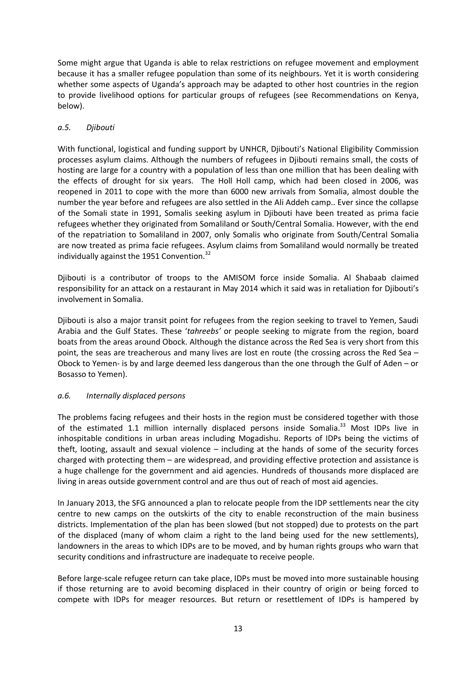Some might argue that Uganda is able to relax restrictions on refugee movement and employment because it has a smaller refugee population than some of its neighbours. Yet it is worth considering whether some aspects of Uganda's approach may be adapted to other host countries in the region to provide livelihood options for particular groups of refugees (see Recommendations on Kenya, below).

# *a.5. Djibouti*

With functional, logistical and funding support by UNHCR, Djibouti's National Eligibility Commission processes asylum claims. Although the numbers of refugees in Djibouti remains small, the costs of hosting are large for a country with a population of less than one million that has been dealing with the effects of drought for six years. The Holl Holl camp, which had been closed in 2006, was reopened in 2011 to cope with the more than 6000 new arrivals from Somalia, almost double the number the year before and refugees are also settled in the Ali Addeh camp.. Ever since the collapse of the Somali state in 1991, Somalis seeking asylum in Djibouti have been treated as prima facie refugees whether they originated from Somaliland or South/Central Somalia. However, with the end of the repatriation to Somaliland in 2007, only Somalis who originate from South/Central Somalia are now treated as prima facie refugees. Asylum claims from Somaliland would normally be treated individually against the 1951 Convention.<sup>32</sup>

Djibouti is a contributor of troops to the AMISOM force inside Somalia. Al Shabaab claimed responsibility for an attack on a restaurant in May 2014 which it said was in retaliation for Djibouti's involvement in Somalia.

Djibouti is also a major transit point for refugees from the region seeking to travel to Yemen, Saudi Arabia and the Gulf States. These '*tahreebs'* or people seeking to migrate from the region, board boats from the areas around Obock. Although the distance across the Red Sea is very short from this point, the seas are treacherous and many lives are lost en route (the crossing across the Red Sea – Obock to Yemen- is by and large deemed less dangerous than the one through the Gulf of Aden – or Bosasso to Yemen).

# *a.6. Internally displaced persons*

The problems facing refugees and their hosts in the region must be considered together with those of the estimated 1.1 million internally displaced persons inside Somalia.<sup>33</sup> Most IDPs live in inhospitable conditions in urban areas including Mogadishu. Reports of IDPs being the victims of theft, looting, assault and sexual violence – including at the hands of some of the security forces charged with protecting them – are widespread, and providing effective protection and assistance is a huge challenge for the government and aid agencies. Hundreds of thousands more displaced are living in areas outside government control and are thus out of reach of most aid agencies.

In January 2013, the SFG announced a plan to relocate people from the IDP settlements near the city centre to new camps on the outskirts of the city to enable reconstruction of the main business districts. Implementation of the plan has been slowed (but not stopped) due to protests on the part of the displaced (many of whom claim a right to the land being used for the new settlements), landowners in the areas to which IDPs are to be moved, and by human rights groups who warn that security conditions and infrastructure are inadequate to receive people.

Before large-scale refugee return can take place, IDPs must be moved into more sustainable housing if those returning are to avoid becoming displaced in their country of origin or being forced to compete with IDPs for meager resources. But return or resettlement of IDPs is hampered by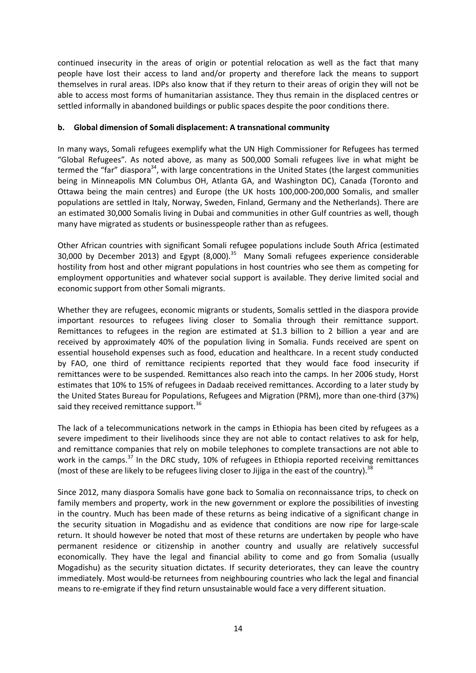continued insecurity in the areas of origin or potential relocation as well as the fact that many people have lost their access to land and/or property and therefore lack the means to support themselves in rural areas. IDPs also know that if they return to their areas of origin they will not be able to access most forms of humanitarian assistance. They thus remain in the displaced centres or settled informally in abandoned buildings or public spaces despite the poor conditions there.

### **b. Global dimension of Somali displacement: A transnational community**

In many ways, Somali refugees exemplify what the UN High Commissioner for Refugees has termed "Global Refugees". As noted above, as many as 500,000 Somali refugees live in what might be termed the "far" diaspora<sup>34</sup>, with large concentrations in the United States (the largest communities being in Minneapolis MN Columbus OH, Atlanta GA, and Washington DC), Canada (Toronto and Ottawa being the main centres) and Europe (the UK hosts 100,000-200,000 Somalis, and smaller populations are settled in Italy, Norway, Sweden, Finland, Germany and the Netherlands). There are an estimated 30,000 Somalis living in Dubai and communities in other Gulf countries as well, though many have migrated as students or businesspeople rather than as refugees.

Other African countries with significant Somali refugee populations include South Africa (estimated 30,000 by December 2013) and Egypt (8,000). $35$  Many Somali refugees experience considerable hostility from host and other migrant populations in host countries who see them as competing for employment opportunities and whatever social support is available. They derive limited social and economic support from other Somali migrants.

Whether they are refugees, economic migrants or students, Somalis settled in the diaspora provide important resources to refugees living closer to Somalia through their remittance support. Remittances to refugees in the region are estimated at \$1.3 billion to 2 billion a year and are received by approximately 40% of the population living in Somalia. Funds received are spent on essential household expenses such as food, education and healthcare. In a recent study conducted by FAO, one third of remittance recipients reported that they would face food insecurity if remittances were to be suspended. Remittances also reach into the camps. In her 2006 study, Horst estimates that 10% to 15% of refugees in Dadaab received remittances. According to a later study by the United States Bureau for Populations, Refugees and Migration (PRM), more than one-third (37%) said they received remittance support.<sup>36</sup>

The lack of a telecommunications network in the camps in Ethiopia has been cited by refugees as a severe impediment to their livelihoods since they are not able to contact relatives to ask for help, and remittance companies that rely on mobile telephones to complete transactions are not able to work in the camps.<sup>37</sup> In the DRC study, 10% of refugees in Ethiopia reported receiving remittances (most of these are likely to be refugees living closer to Jijiga in the east of the country).  $^{38}$ 

Since 2012, many diaspora Somalis have gone back to Somalia on reconnaissance trips, to check on family members and property, work in the new government or explore the possibilities of investing in the country. Much has been made of these returns as being indicative of a significant change in the security situation in Mogadishu and as evidence that conditions are now ripe for large-scale return. It should however be noted that most of these returns are undertaken by people who have permanent residence or citizenship in another country and usually are relatively successful economically. They have the legal and financial ability to come and go from Somalia (usually Mogadishu) as the security situation dictates. If security deteriorates, they can leave the country immediately. Most would-be returnees from neighbouring countries who lack the legal and financial means to re-emigrate if they find return unsustainable would face a very different situation.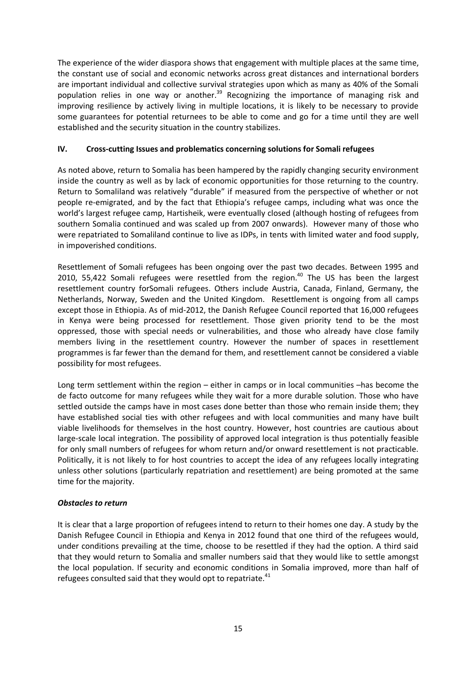The experience of the wider diaspora shows that engagement with multiple places at the same time, the constant use of social and economic networks across great distances and international borders are important individual and collective survival strategies upon which as many as 40% of the Somali population relies in one way or another.<sup>39</sup> Recognizing the importance of managing risk and improving resilience by actively living in multiple locations, it is likely to be necessary to provide some guarantees for potential returnees to be able to come and go for a time until they are well established and the security situation in the country stabilizes.

# **IV. Cross-cutting Issues and problematics concerning solutions for Somali refugees**

As noted above, return to Somalia has been hampered by the rapidly changing security environment inside the country as well as by lack of economic opportunities for those returning to the country. Return to Somaliland was relatively "durable" if measured from the perspective of whether or not people re-emigrated, and by the fact that Ethiopia's refugee camps, including what was once the world's largest refugee camp, Hartisheik, were eventually closed (although hosting of refugees from southern Somalia continued and was scaled up from 2007 onwards). However many of those who were repatriated to Somaliland continue to live as IDPs, in tents with limited water and food supply, in impoverished conditions.

Resettlement of Somali refugees has been ongoing over the past two decades. Between 1995 and 2010, 55,422 Somali refugees were resettled from the region.<sup>40</sup> The US has been the largest resettlement country forSomali refugees. Others include Austria, Canada, Finland, Germany, the Netherlands, Norway, Sweden and the United Kingdom. Resettlement is ongoing from all camps except those in Ethiopia. As of mid-2012, the Danish Refugee Council reported that 16,000 refugees in Kenya were being processed for resettlement. Those given priority tend to be the most oppressed, those with special needs or vulnerabilities, and those who already have close family members living in the resettlement country. However the number of spaces in resettlement programmes is far fewer than the demand for them, and resettlement cannot be considered a viable possibility for most refugees.

Long term settlement within the region – either in camps or in local communities –has become the de facto outcome for many refugees while they wait for a more durable solution. Those who have settled outside the camps have in most cases done better than those who remain inside them; they have established social ties with other refugees and with local communities and many have built viable livelihoods for themselves in the host country. However, host countries are cautious about large-scale local integration. The possibility of approved local integration is thus potentially feasible for only small numbers of refugees for whom return and/or onward resettlement is not practicable. Politically, it is not likely to for host countries to accept the idea of any refugees locally integrating unless other solutions (particularly repatriation and resettlement) are being promoted at the same time for the majority.

# *Obstacles to return*

It is clear that a large proportion of refugees intend to return to their homes one day. A study by the Danish Refugee Council in Ethiopia and Kenya in 2012 found that one third of the refugees would, under conditions prevailing at the time, choose to be resettled if they had the option. A third said that they would return to Somalia and smaller numbers said that they would like to settle amongst the local population. If security and economic conditions in Somalia improved, more than half of refugees consulted said that they would opt to repatriate.<sup>41</sup>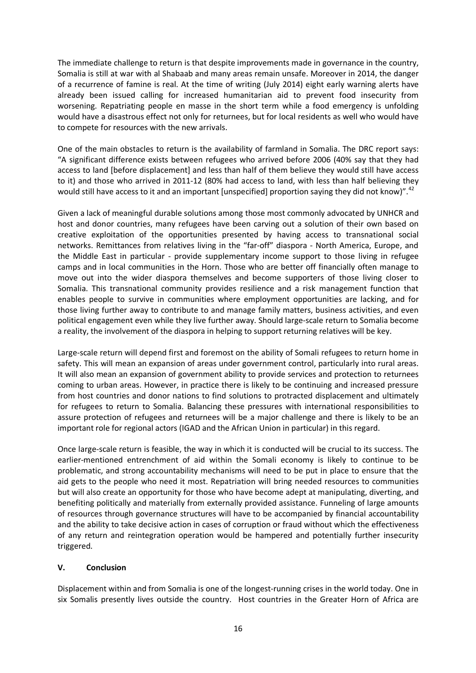The immediate challenge to return is that despite improvements made in governance in the country, Somalia is still at war with al Shabaab and many areas remain unsafe. Moreover in 2014, the danger of a recurrence of famine is real. At the time of writing (July 2014) eight early warning alerts have already been issued calling for increased humanitarian aid to prevent food insecurity from worsening. Repatriating people en masse in the short term while a food emergency is unfolding would have a disastrous effect not only for returnees, but for local residents as well who would have to compete for resources with the new arrivals.

One of the main obstacles to return is the availability of farmland in Somalia. The DRC report says: "A significant difference exists between refugees who arrived before 2006 (40% say that they had access to land [before displacement] and less than half of them believe they would still have access to it) and those who arrived in 2011-12 (80% had access to land, with less than half believing they would still have access to it and an important [unspecified] proportion saying they did not know)".<sup>42</sup>

Given a lack of meaningful durable solutions among those most commonly advocated by UNHCR and host and donor countries, many refugees have been carving out a solution of their own based on creative exploitation of the opportunities presented by having access to transnational social networks. Remittances from relatives living in the "far-off" diaspora - North America, Europe, and the Middle East in particular - provide supplementary income support to those living in refugee camps and in local communities in the Horn. Those who are better off financially often manage to move out into the wider diaspora themselves and become supporters of those living closer to Somalia. This transnational community provides resilience and a risk management function that enables people to survive in communities where employment opportunities are lacking, and for those living further away to contribute to and manage family matters, business activities, and even political engagement even while they live further away. Should large-scale return to Somalia become a reality, the involvement of the diaspora in helping to support returning relatives will be key.

Large-scale return will depend first and foremost on the ability of Somali refugees to return home in safety. This will mean an expansion of areas under government control, particularly into rural areas. It will also mean an expansion of government ability to provide services and protection to returnees coming to urban areas. However, in practice there is likely to be continuing and increased pressure from host countries and donor nations to find solutions to protracted displacement and ultimately for refugees to return to Somalia. Balancing these pressures with international responsibilities to assure protection of refugees and returnees will be a major challenge and there is likely to be an important role for regional actors (IGAD and the African Union in particular) in this regard.

Once large-scale return is feasible, the way in which it is conducted will be crucial to its success. The earlier-mentioned entrenchment of aid within the Somali economy is likely to continue to be problematic, and strong accountability mechanisms will need to be put in place to ensure that the aid gets to the people who need it most. Repatriation will bring needed resources to communities but will also create an opportunity for those who have become adept at manipulating, diverting, and benefiting politically and materially from externally provided assistance. Funneling of large amounts of resources through governance structures will have to be accompanied by financial accountability and the ability to take decisive action in cases of corruption or fraud without which the effectiveness of any return and reintegration operation would be hampered and potentially further insecurity triggered.

# **V. Conclusion**

Displacement within and from Somalia is one of the longest-running crises in the world today. One in six Somalis presently lives outside the country. Host countries in the Greater Horn of Africa are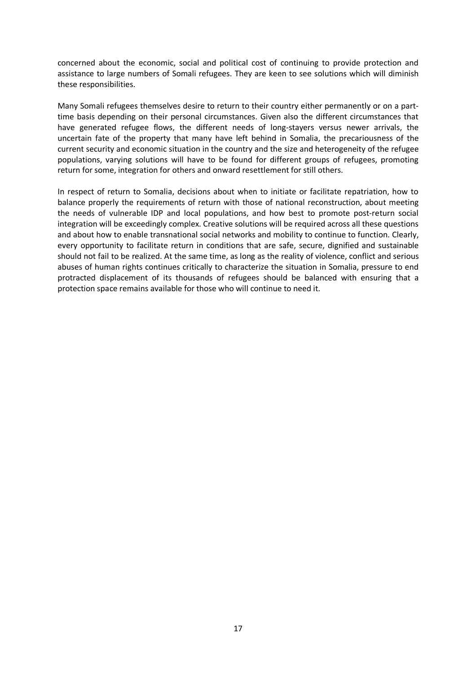concerned about the economic, social and political cost of continuing to provide protection and assistance to large numbers of Somali refugees. They are keen to see solutions which will diminish these responsibilities.

Many Somali refugees themselves desire to return to their country either permanently or on a parttime basis depending on their personal circumstances. Given also the different circumstances that have generated refugee flows, the different needs of long-stayers versus newer arrivals, the uncertain fate of the property that many have left behind in Somalia, the precariousness of the current security and economic situation in the country and the size and heterogeneity of the refugee populations, varying solutions will have to be found for different groups of refugees, promoting return for some, integration for others and onward resettlement for still others.

In respect of return to Somalia, decisions about when to initiate or facilitate repatriation, how to balance properly the requirements of return with those of national reconstruction, about meeting the needs of vulnerable IDP and local populations, and how best to promote post-return social integration will be exceedingly complex. Creative solutions will be required across all these questions and about how to enable transnational social networks and mobility to continue to function. Clearly, every opportunity to facilitate return in conditions that are safe, secure, dignified and sustainable should not fail to be realized. At the same time, as long as the reality of violence, conflict and serious abuses of human rights continues critically to characterize the situation in Somalia, pressure to end protracted displacement of its thousands of refugees should be balanced with ensuring that a protection space remains available for those who will continue to need it.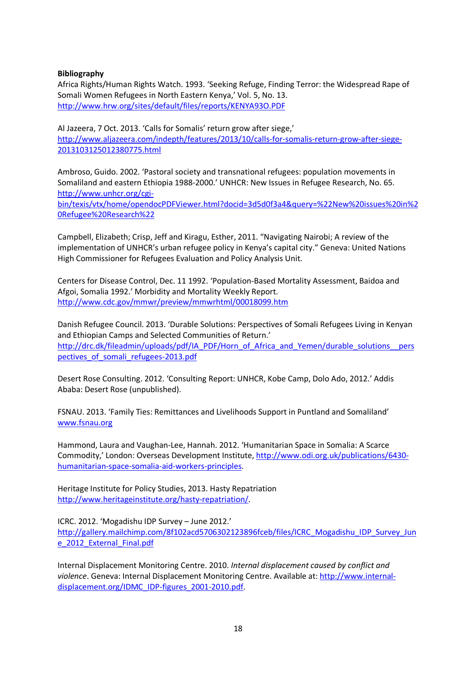### **Bibliography**

Africa Rights/Human Rights Watch. 1993. 'Seeking Refuge, Finding Terror: the Widespread Rape of Somali Women Refugees in North Eastern Kenya,' Vol. 5, No. 13. http://www.hrw.org/sites/default/files/reports/KENYA93O.PDF

Al Jazeera, 7 Oct. 2013. 'Calls for Somalis' return grow after siege,' http://www.aljazeera.com/indepth/features/2013/10/calls-for-somalis-return-grow-after-siege-2013103125012380775.html

Ambroso, Guido. 2002. 'Pastoral society and transnational refugees: population movements in Somaliland and eastern Ethiopia 1988-2000.' UNHCR: New Issues in Refugee Research, No. 65. http://www.unhcr.org/cgi-

bin/texis/vtx/home/opendocPDFViewer.html?docid=3d5d0f3a4&query=%22New%20issues%20in%2 0Refugee%20Research%22

Campbell, Elizabeth; Crisp, Jeff and Kiragu, Esther, 2011. "Navigating Nairobi; A review of the implementation of UNHCR's urban refugee policy in Kenya's capital city." Geneva: United Nations High Commissioner for Refugees Evaluation and Policy Analysis Unit.

Centers for Disease Control, Dec. 11 1992. 'Population-Based Mortality Assessment, Baidoa and Afgoi, Somalia 1992.' Morbidity and Mortality Weekly Report. http://www.cdc.gov/mmwr/preview/mmwrhtml/00018099.htm

Danish Refugee Council. 2013. 'Durable Solutions: Perspectives of Somali Refugees Living in Kenyan and Ethiopian Camps and Selected Communities of Return.' http://drc.dk/fileadmin/uploads/pdf/IA\_PDF/Horn\_of\_Africa\_and\_Yemen/durable\_solutions\_\_pers pectives of somali refugees-2013.pdf

Desert Rose Consulting. 2012. 'Consulting Report: UNHCR, Kobe Camp, Dolo Ado, 2012.' Addis Ababa: Desert Rose (unpublished).

FSNAU. 2013. 'Family Ties: Remittances and Livelihoods Support in Puntland and Somaliland' www.fsnau.org

Hammond, Laura and Vaughan-Lee, Hannah. 2012. 'Humanitarian Space in Somalia: A Scarce Commodity,' London: Overseas Development Institute, http://www.odi.org.uk/publications/6430 humanitarian-space-somalia-aid-workers-principles.

Heritage Institute for Policy Studies, 2013. Hasty Repatriation http://www.heritageinstitute.org/hasty-repatriation/.

ICRC. 2012. 'Mogadishu IDP Survey – June 2012.' http://gallery.mailchimp.com/8f102acd5706302123896fceb/files/ICRC\_Mogadishu\_IDP\_Survey\_Jun e\_2012\_External\_Final.pdf

Internal Displacement Monitoring Centre. 2010. *Internal displacement caused by conflict and violence*. Geneva: Internal Displacement Monitoring Centre. Available at: http://www.internaldisplacement.org/IDMC\_IDP-figures\_2001-2010.pdf.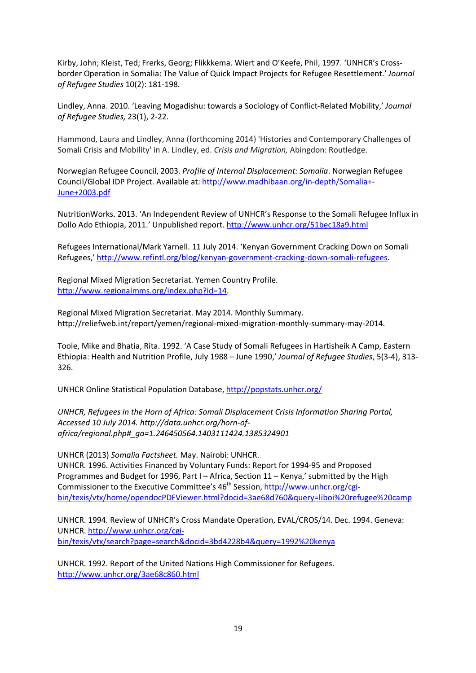Kirby, John; Kleist, Ted; Frerks, Georg; Flikkkema. Wiert and O'Keefe, Phil, 1997. 'UNHCR's Crossborder Operation in Somalia: The Value of Quick Impact Projects for Refugee Resettlement.' *Journal of Refugee Studies* 10(2): 181-198.

Lindley, Anna. 2010. 'Leaving Mogadishu: towards a Sociology of Conflict-Related Mobility,' *Journal of Refugee Studies,* 23(1), 2-22.

Hammond, Laura and Lindley, Anna (forthcoming 2014) 'Histories and Contemporary Challenges of Somali Crisis and Mobility' in A. Lindley, ed. *Crisis and Migration,* Abingdon: Routledge.

Norwegian Refugee Council, 2003. *Profile of Internal Displacement: Somalia*. Norwegian Refugee Council/Global IDP Project. Available at: http://www.madhibaan.org/in-depth/Somalia+- June+2003.pdf

NutritionWorks. 2013. 'An Independent Review of UNHCR's Response to the Somali Refugee Influx in Dollo Ado Ethiopia, 2011.' Unpublished report. http://www.unhcr.org/51bec18a9.html

Refugees International/Mark Yarnell. 11 July 2014. 'Kenyan Government Cracking Down on Somali Refugees,' http://www.refintl.org/blog/kenyan-government-cracking-down-somali-refugees.

Regional Mixed Migration Secretariat. Yemen Country Profile. http://www.regionalmms.org/index.php?id=14.

Regional Mixed Migration Secretariat. May 2014. Monthly Summary. http://reliefweb.int/report/yemen/regional-mixed-migration-monthly-summary-may-2014.

Toole, Mike and Bhatia, Rita. 1992. 'A Case Study of Somali Refugees in Hartisheik A Camp, Eastern Ethiopia: Health and Nutrition Profile, July 1988 – June 1990,' *Journal of Refugee Studies*, 5(3-4), 313- 326.

UNHCR Online Statistical Population Database, http://popstats.unhcr.org/

*UNHCR, Refugees in the Horn of Africa: Somali Displacement Crisis Information Sharing Portal, Accessed 10 July 2014. http://data.unhcr.org/horn-ofafrica/regional.php#\_ga=1.246450564.1403111424.1385324901*

UNHCR (2013) *Somalia Factsheet.* May. Nairobi: UNHCR. UNHCR. 1996. Activities Financed by Voluntary Funds: Report for 1994-95 and Proposed Programmes and Budget for 1996, Part I – Africa, Section 11 – Kenya,' submitted by the High Commissioner to the Executive Committee's  $46<sup>th</sup>$  Session, http://www.unhcr.org/cgibin/texis/vtx/home/opendocPDFViewer.html?docid=3ae68d760&query=liboi%20refugee%20camp

UNHCR. 1994. Review of UNHCR's Cross Mandate Operation, EVAL/CROS/14. Dec. 1994. Geneva: UNHCR. http://www.unhcr.org/cgibin/texis/vtx/search?page=search&docid=3bd4228b4&query=1992%20kenya

UNHCR. 1992. Report of the United Nations High Commissioner for Refugees. http://www.unhcr.org/3ae68c860.html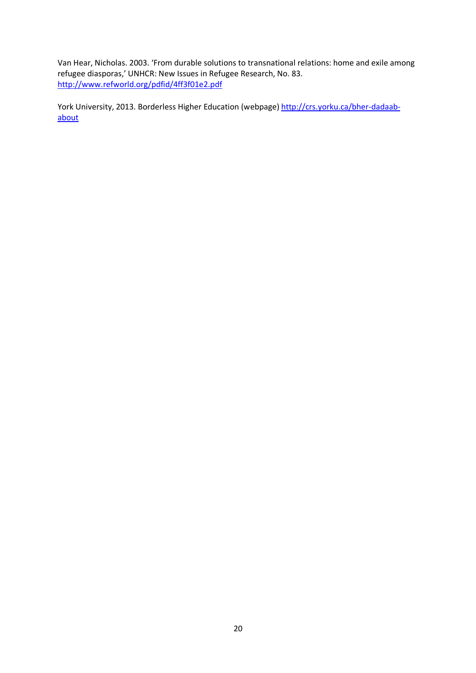Van Hear, Nicholas. 2003. 'From durable solutions to transnational relations: home and exile among refugee diasporas,' UNHCR: New Issues in Refugee Research, No. 83. http://www.refworld.org/pdfid/4ff3f01e2.pdf

York University, 2013. Borderless Higher Education (webpage) http://crs.yorku.ca/bher-dadaababout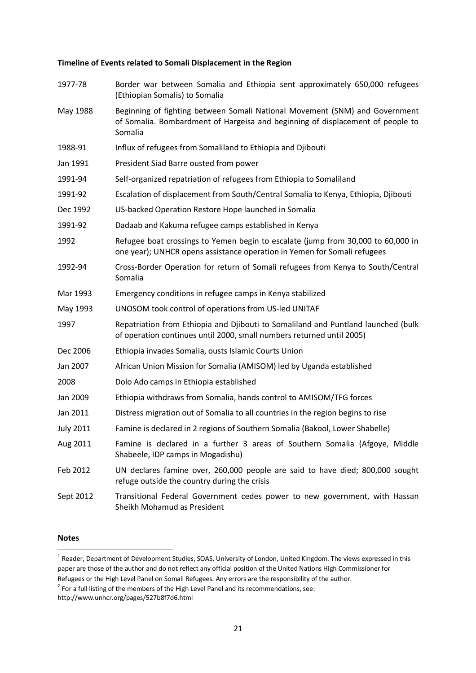#### **Timeline of Events related to Somali Displacement in the Region**

| 1977-78          | Border war between Somalia and Ethiopia sent approximately 650,000 refugees<br>(Ethiopian Somalis) to Somalia                                                            |  |
|------------------|--------------------------------------------------------------------------------------------------------------------------------------------------------------------------|--|
| May 1988         | Beginning of fighting between Somali National Movement (SNM) and Government<br>of Somalia. Bombardment of Hargeisa and beginning of displacement of people to<br>Somalia |  |
| 1988-91          | Influx of refugees from Somaliland to Ethiopia and Djibouti                                                                                                              |  |
| Jan 1991         | President Siad Barre ousted from power                                                                                                                                   |  |
| 1991-94          | Self-organized repatriation of refugees from Ethiopia to Somaliland                                                                                                      |  |
| 1991-92          | Escalation of displacement from South/Central Somalia to Kenya, Ethiopia, Djibouti                                                                                       |  |
| Dec 1992         | US-backed Operation Restore Hope launched in Somalia                                                                                                                     |  |
| 1991-92          | Dadaab and Kakuma refugee camps established in Kenya                                                                                                                     |  |
| 1992             | Refugee boat crossings to Yemen begin to escalate (jump from 30,000 to 60,000 in<br>one year); UNHCR opens assistance operation in Yemen for Somali refugees             |  |
| 1992-94          | Cross-Border Operation for return of Somali refugees from Kenya to South/Central<br>Somalia                                                                              |  |
| Mar 1993         | Emergency conditions in refugee camps in Kenya stabilized                                                                                                                |  |
| May 1993         | UNOSOM took control of operations from US-led UNITAF                                                                                                                     |  |
| 1997             | Repatriation from Ethiopia and Djibouti to Somaliland and Puntland launched (bulk<br>of operation continues until 2000, small numbers returned until 2005)               |  |
| Dec 2006         | Ethiopia invades Somalia, ousts Islamic Courts Union                                                                                                                     |  |
| Jan 2007         | African Union Mission for Somalia (AMISOM) led by Uganda established                                                                                                     |  |
| 2008             | Dolo Ado camps in Ethiopia established                                                                                                                                   |  |
| Jan 2009         | Ethiopia withdraws from Somalia, hands control to AMISOM/TFG forces                                                                                                      |  |
| Jan 2011         | Distress migration out of Somalia to all countries in the region begins to rise                                                                                          |  |
| <b>July 2011</b> | Famine is declared in 2 regions of Southern Somalia (Bakool, Lower Shabelle)                                                                                             |  |
| Aug 2011         | Famine is declared in a further 3 areas of Southern Somalia (Afgoye, Middle<br>Shabeele, IDP camps in Mogadishu)                                                         |  |
| Feb 2012         | UN declares famine over, 260,000 people are said to have died; 800,000 sought<br>refuge outside the country during the crisis                                            |  |
| Sept 2012        | Transitional Federal Government cedes power to new government, with Hassan<br>Sheikh Mohamud as President                                                                |  |

#### **Notes**

<sup>1&</sup>lt;br><sup>1</sup> Reader, Department of Development Studies, SOAS, University of London, United Kingdom. The views expressed in this paper are those of the author and do not reflect any official position of the United Nations High Commissioner for Refugees or the High Level Panel on Somali Refugees. Any errors are the responsibility of the author.

 $2$  For a full listing of the members of the High Level Panel and its recommendations, see:

http://www.unhcr.org/pages/527b8f7d6.html